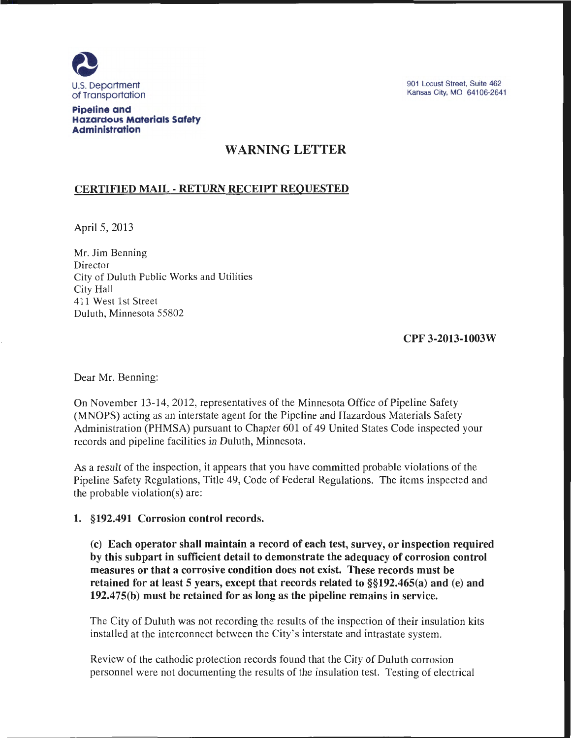

901 Locust Street, Suite 462 Kansas City, MO 64106-2641

#### **Pipeline and Hazardous Materials Safety Administration**

# WARNING LETTER

# CERTIFIED MAIL- RETURN RECEIPT REQUESTED

April 5, 2013

Mr. Jim Benning Director City of Duluth Public Works and Utilities City Hall 411 West 1st Street Duluth, Minnesota 55802

CPF 3-2013-1003W

Dear Mr. Benning:

On November 13-14, 2012, representatives of the Minnesota Office of Pipeline Safety (MNOPS) acting as an interstate agent for the Pipeline and Hazardous Materials Safety Administration (PHMSA) pursuant to Chapter 601 of 49 United States Code inspected your records and pipeline facilities in Duluth, Minnesota.

As a result of the inspection, it appears that you have committed probable violations of the Pipeline Safety Regulations, Title 49, Code of Federal Regulations. The items inspected and the probable violation(s) are:

## 1. §192.491 Corrosion control records.

(c) Each operator shall maintain a record of each test, survey, or inspection required by this subpart in sufficient detail to demonstrate the adequacy of corrosion control measures or that a corrosive condition does not exist. These records must be retained for at least 5 years, except that records related to §§192.465(a) and (e) and 192.475(b) must be retained for as long as the pipeline remains in service.

The City of Duluth was not recording the results of the inspection of their insulation kits installed at the interconnect between the City's interstate and intrastate system.

Review of the cathodic protection records found that the City of Duluth corrosion personnel were not documenting the results of the insulation test. Testing of electrical